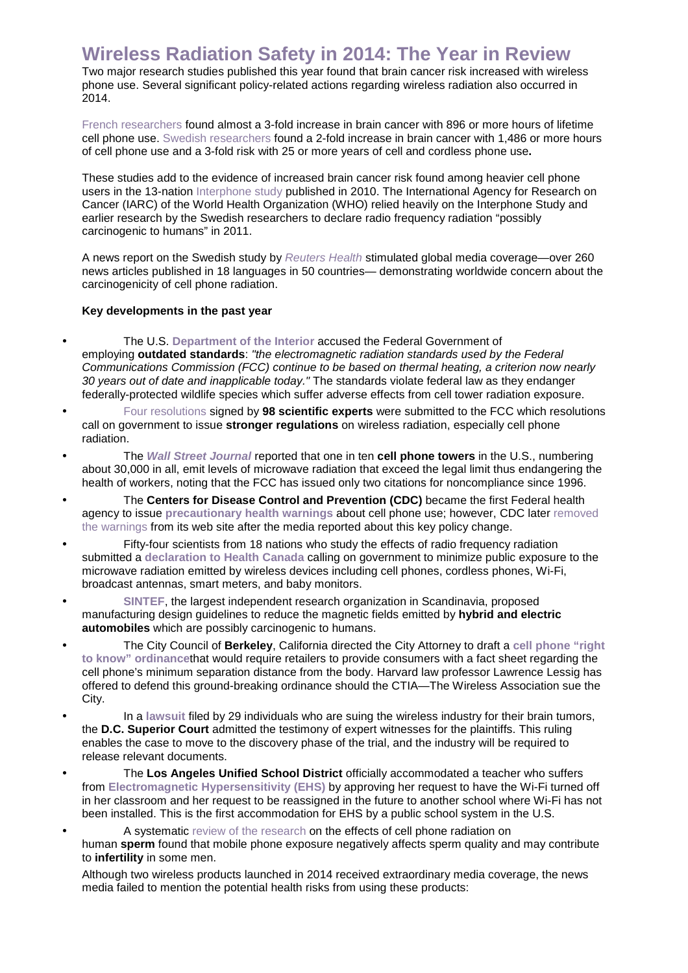# **Wireless Radiation Safety in 2014: The Year in Review**

Two major research studies published this year found that brain cancer risk increased with wireless phone use. Several significant policy-related actions regarding wireless radiation also occurred in 2014.

French researchers found almost a 3-fold increase in brain cancer with 896 or more hours of lifetime cell phone use. Swedish researchers found a 2-fold increase in brain cancer with 1,486 or more hours of cell phone use and a 3-fold risk with 25 or more years of cell and cordless phone use**.** 

These studies add to the evidence of increased brain cancer risk found among heavier cell phone users in the 13-nation Interphone study published in 2010. The International Agency for Research on Cancer (IARC) of the World Health Organization (WHO) relied heavily on the Interphone Study and earlier research by the Swedish researchers to declare radio frequency radiation "possibly carcinogenic to humans" in 2011.

A news report on the Swedish study by Reuters Health stimulated global media coverage—over 260 news articles published in 18 languages in 50 countries— demonstrating worldwide concern about the carcinogenicity of cell phone radiation.

### **Key developments in the past year**

- The U.S. **Department of the Interior** accused the Federal Government of employing **outdated standards**: "the electromagnetic radiation standards used by the Federal Communications Commission (FCC) continue to be based on thermal heating, a criterion now nearly 30 years out of date and inapplicable today." The standards violate federal law as they endanger federally-protected wildlife species which suffer adverse effects from cell tower radiation exposure.
- Four resolutions signed by **98 scientific experts** were submitted to the FCC which resolutions call on government to issue **stronger regulations** on wireless radiation, especially cell phone radiation.
- The **Wall Street Journal** reported that one in ten **cell phone towers** in the U.S., numbering about 30,000 in all, emit levels of microwave radiation that exceed the legal limit thus endangering the health of workers, noting that the FCC has issued only two citations for noncompliance since 1996.
- The **Centers for Disease Control and Prevention (CDC)** became the first Federal health agency to issue **precautionary health warnings** about cell phone use; however, CDC later removed the warnings from its web site after the media reported about this key policy change.
- Fifty-four scientists from 18 nations who study the effects of radio frequency radiation submitted a **declaration to Health Canada** calling on government to minimize public exposure to the microwave radiation emitted by wireless devices including cell phones, cordless phones, Wi-Fi, broadcast antennas, smart meters, and baby monitors.
- **SINTEF**, the largest independent research organization in Scandinavia, proposed manufacturing design guidelines to reduce the magnetic fields emitted by **hybrid and electric automobiles** which are possibly carcinogenic to humans.
- The City Council of **Berkeley**, California directed the City Attorney to draft a **cell phone "right to know" ordinance**that would require retailers to provide consumers with a fact sheet regarding the cell phone's minimum separation distance from the body. Harvard law professor Lawrence Lessig has offered to defend this ground-breaking ordinance should the CTIA—The Wireless Association sue the City.
- In a **lawsuit** filed by 29 individuals who are suing the wireless industry for their brain tumors, the **D.C. Superior Court** admitted the testimony of expert witnesses for the plaintiffs. This ruling enables the case to move to the discovery phase of the trial, and the industry will be required to release relevant documents.
- The **Los Angeles Unified School District** officially accommodated a teacher who suffers from **Electromagnetic Hypersensitivity (EHS)** by approving her request to have the Wi-Fi turned off in her classroom and her request to be reassigned in the future to another school where Wi-Fi has not been installed. This is the first accommodation for EHS by a public school system in the U.S.
- A systematic review of the research on the effects of cell phone radiation on human **sperm** found that mobile phone exposure negatively affects sperm quality and may contribute to **infertility** in some men.

Although two wireless products launched in 2014 received extraordinary media coverage, the news media failed to mention the potential health risks from using these products: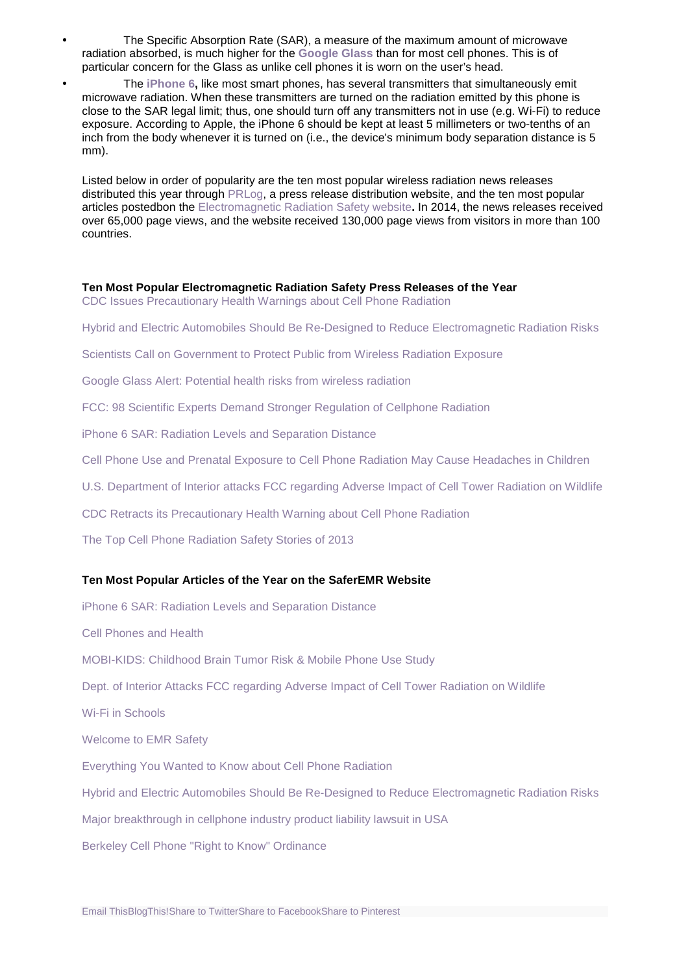- The Specific Absorption Rate (SAR), a measure of the maximum amount of microwave radiation absorbed, is much higher for the **Google Glass** than for most cell phones. This is of particular concern for the Glass as unlike cell phones it is worn on the user's head.
- The **iPhone 6,** like most smart phones, has several transmitters that simultaneously emit microwave radiation. When these transmitters are turned on the radiation emitted by this phone is close to the SAR legal limit; thus, one should turn off any transmitters not in use (e.g. Wi-Fi) to reduce exposure. According to Apple, the iPhone 6 should be kept at least 5 millimeters or two-tenths of an inch from the body whenever it is turned on (i.e., the device's minimum body separation distance is 5 mm).

Listed below in order of popularity are the ten most popular wireless radiation news releases distributed this year through PRLog, a press release distribution website, and the ten most popular articles postedbon the Electromagnetic Radiation Safety website**.** In 2014, the news releases received over 65,000 page views, and the website received 130,000 page views from visitors in more than 100 countries.

### **Ten Most Popular Electromagnetic Radiation Safety Press Releases of the Year**

CDC Issues Precautionary Health Warnings about Cell Phone Radiation

Hybrid and Electric Automobiles Should Be Re-Designed to Reduce Electromagnetic Radiation Risks

Scientists Call on Government to Protect Public from Wireless Radiation Exposure

Google Glass Alert: Potential health risks from wireless radiation

FCC: 98 Scientific Experts Demand Stronger Regulation of Cellphone Radiation

iPhone 6 SAR: Radiation Levels and Separation Distance

Cell Phone Use and Prenatal Exposure to Cell Phone Radiation May Cause Headaches in Children

U.S. Department of Interior attacks FCC regarding Adverse Impact of Cell Tower Radiation on Wildlife

CDC Retracts its Precautionary Health Warning about Cell Phone Radiation

The Top Cell Phone Radiation Safety Stories of 2013

### **Ten Most Popular Articles of the Year on the SaferEMR Website**

iPhone 6 SAR: Radiation Levels and Separation Distance Cell Phones and Health MOBI-KIDS: Childhood Brain Tumor Risk & Mobile Phone Use Study Dept. of Interior Attacks FCC regarding Adverse Impact of Cell Tower Radiation on Wildlife Wi-Fi in Schools Welcome to EMR Safety Everything You Wanted to Know about Cell Phone Radiation Hybrid and Electric Automobiles Should Be Re-Designed to Reduce Electromagnetic Radiation Risks Major breakthrough in cellphone industry product liability lawsuit in USA Berkeley Cell Phone "Right to Know" Ordinance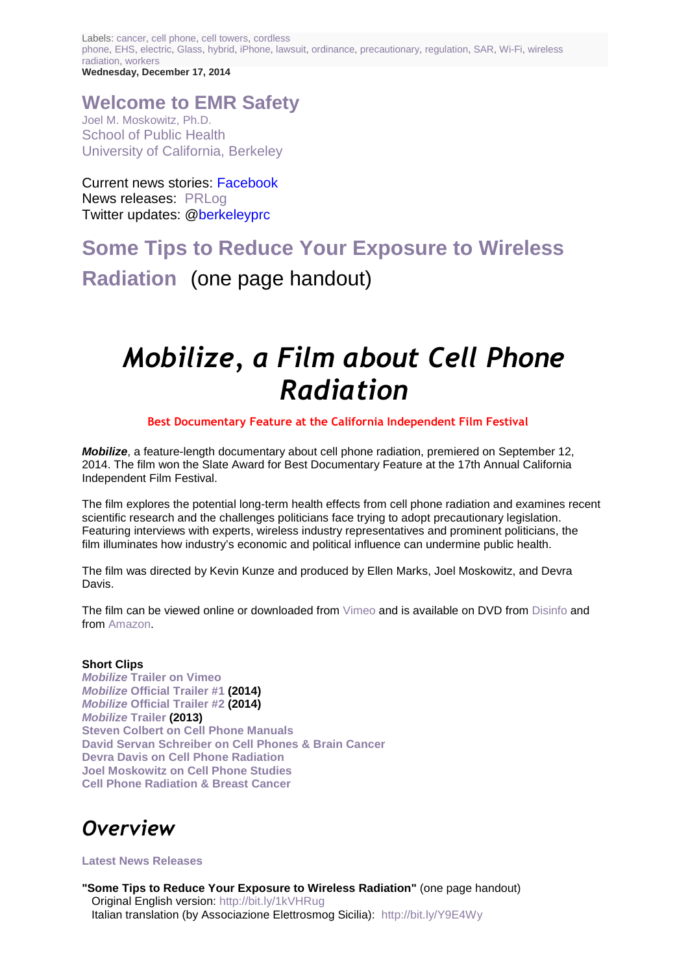Labels: cancer, cell phone, cell towers, cordless phone, EHS, electric, Glass, hybrid, iPhone, lawsuit, ordinance, precautionary, regulation, SAR, Wi-Fi, wireless radiation, workers **Wednesday, December 17, 2014**

**Welcome to EMR Safety**

Joel M. Moskowitz, Ph.D. School of Public Health University of California, Berkeley

Current news stories: Facebook News releases: PRLog Twitter updates: @berkeleyprc

**Some Tips to Reduce Your Exposure to Wireless** 

**Radiation** (one page handout)

# *Mobilize, a Film about Cell Phone Radiation*

### **Best Documentary Feature at the California Independent Film Festival**

**Mobilize**, a feature-length documentary about cell phone radiation, premiered on September 12, 2014. The film won the Slate Award for Best Documentary Feature at the 17th Annual California Independent Film Festival.

The film explores the potential long-term health effects from cell phone radiation and examines recent scientific research and the challenges politicians face trying to adopt precautionary legislation. Featuring interviews with experts, wireless industry representatives and prominent politicians, the film illuminates how industry's economic and political influence can undermine public health.

The film was directed by Kevin Kunze and produced by Ellen Marks, Joel Moskowitz, and Devra Davis.

The film can be viewed online or downloaded from Vimeo and is available on DVD from Disinfo and from Amazon.

### **Short Clips**

**Mobilize Trailer on Vimeo Mobilize Official Trailer #1 (2014) Mobilize Official Trailer #2 (2014) Mobilize Trailer (2013) Steven Colbert on Cell Phone Manuals David Servan Schreiber on Cell Phones & Brain Cancer Devra Davis on Cell Phone Radiation Joel Moskowitz on Cell Phone Studies Cell Phone Radiation & Breast Cancer**

# *Overview*

**Latest News Releases**

**"Some Tips to Reduce Your Exposure to Wireless Radiation"** (one page handout) Original English version: http://bit.ly/1kVHRug Italian translation (by Associazione Elettrosmog Sicilia): http://bit.ly/Y9E4Wy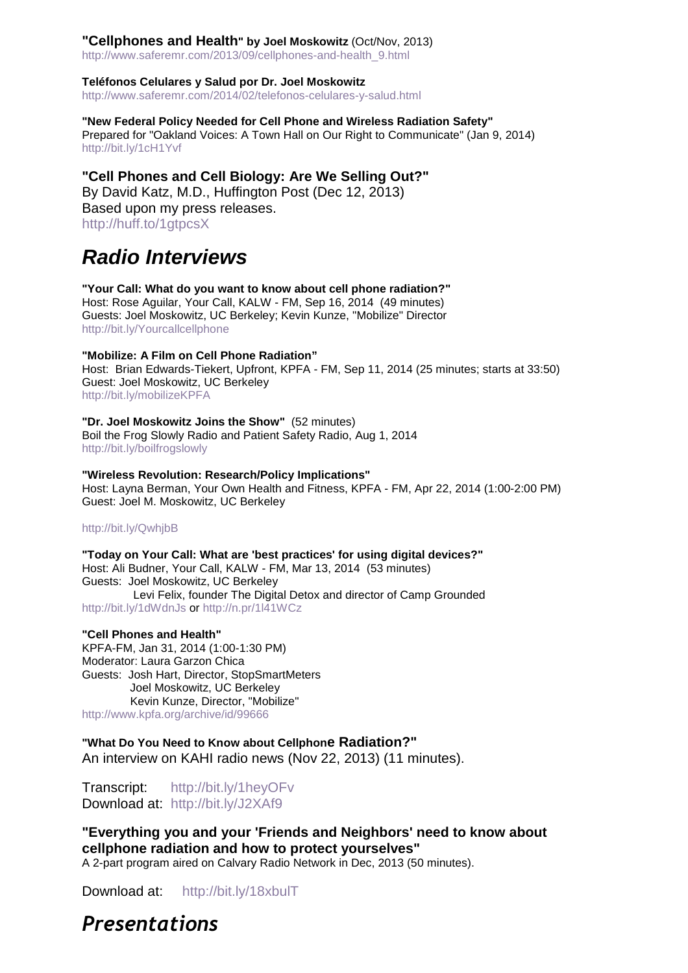### **"Cellphones and Health" by Joel Moskowitz** (Oct/Nov, 2013)

http://www.saferemr.com/2013/09/cellphones-and-health\_9.html

### **Teléfonos Celulares y Salud por Dr. Joel Moskowitz**

http://www.saferemr.com/2014/02/telefonos-celulares-y-salud.html

### **"New Federal Policy Needed for Cell Phone and Wireless Radiation Safety"**

Prepared for "Oakland Voices: A Town Hall on Our Right to Communicate" (Jan 9, 2014) http://bit.ly/1cH1Yvf

### **"Cell Phones and Cell Biology: Are We Selling Out?"**

By David Katz, M.D., Huffington Post (Dec 12, 2013) Based upon my press releases. http://huff.to/1gtpcsX

# **Radio Interviews**

**"Your Call: What do you want to know about cell phone radiation?"** Host: Rose Aguilar, Your Call, KALW - FM, Sep 16, 2014 (49 minutes) Guests: Joel Moskowitz, UC Berkeley; Kevin Kunze, "Mobilize" Director http://bit.ly/Yourcallcellphone

### **"Mobilize: A Film on Cell Phone Radiation"**

Host: Brian Edwards-Tiekert, Upfront, KPFA - FM, Sep 11, 2014 (25 minutes; starts at 33:50) Guest: Joel Moskowitz, UC Berkeley http://bit.ly/mobilizeKPFA

**"Dr. Joel Moskowitz Joins the Show"** (52 minutes) Boil the Frog Slowly Radio and Patient Safety Radio, Aug 1, 2014 http://bit.ly/boilfrogslowly

**"Wireless Revolution: Research/Policy Implications"** Host: Layna Berman, Your Own Health and Fitness, KPFA - FM, Apr 22, 2014 (1:00-2:00 PM) Guest: Joel M. Moskowitz, UC Berkeley

### http://bit.ly/QwhjbB

**"Today on Your Call: What are 'best practices' for using digital devices?"** Host: Ali Budner, Your Call, KALW - FM, Mar 13, 2014 (53 minutes) Guests: Joel Moskowitz, UC Berkeley Levi Felix, founder The Digital Detox and director of Camp Grounded http://bit.ly/1dWdnJs or http://n.pr/1l41WCz

### **"Cell Phones and Health"**

KPFA-FM, Jan 31, 2014 (1:00-1:30 PM) Moderator: Laura Garzon Chica Guests: Josh Hart, Director, StopSmartMeters Joel Moskowitz, UC Berkeley Kevin Kunze, Director, "Mobilize" http://www.kpfa.org/archive/id/99666

**"What Do You Need to Know about Cellphone Radiation?"** An interview on KAHI radio news (Nov 22, 2013) (11 minutes).

Transcript: http://bit.ly/1heyOFv Download at: http://bit.ly/J2XAf9

**"Everything you and your 'Friends and Neighbors' need to know about cellphone radiation and how to protect yourselves"** A 2-part program aired on Calvary Radio Network in Dec, 2013 (50 minutes).

Download at: http://bit.ly/18xbulT

### *Presentations*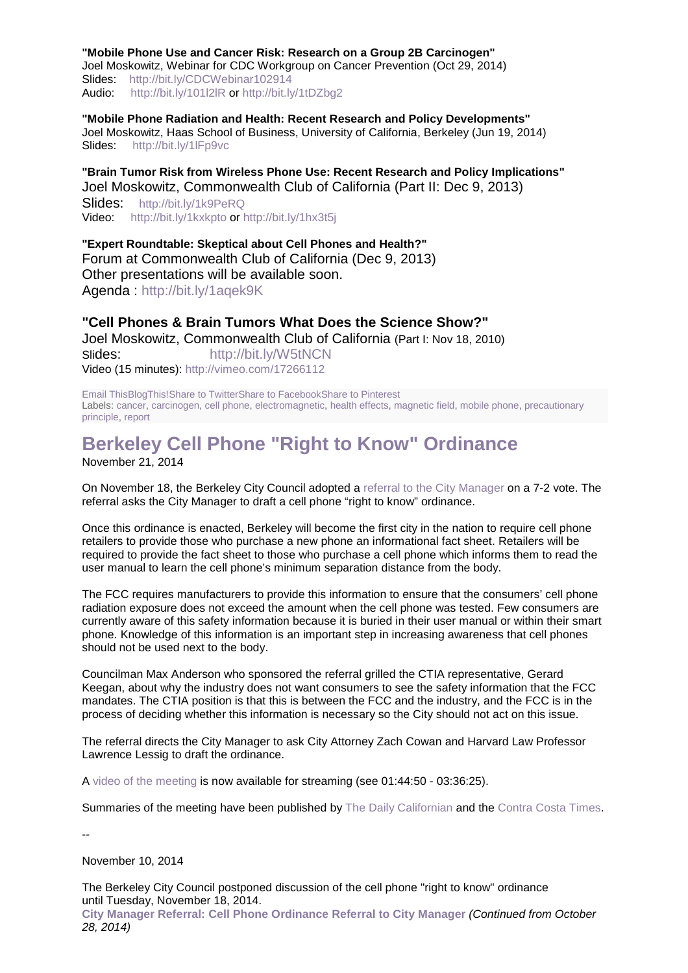### **"Mobile Phone Use and Cancer Risk: Research on a Group 2B Carcinogen"** Joel Moskowitz, Webinar for CDC Workgroup on Cancer Prevention (Oct 29, 2014) Slides: http://bit.ly/CDCWebinar102914 Audio: http://bit.ly/101l2lR or http://bit.ly/1tDZbg2

**"Mobile Phone Radiation and Health: Recent Research and Policy Developments"** Joel Moskowitz, Haas School of Business, University of California, Berkeley (Jun 19, 2014) Slides: http://bit.ly/1lFp9vc

**"Brain Tumor Risk from Wireless Phone Use: Recent Research and Policy Implications"** Joel Moskowitz, Commonwealth Club of California (Part II: Dec 9, 2013) Slides: http://bit.lv/1k9PeRQ Video: http://bit.ly/1kxkpto or http://bit.ly/1hx3t5j

**"Expert Roundtable: Skeptical about Cell Phones and Health?"** Forum at Commonwealth Club of California (Dec 9, 2013) Other presentations will be available soon. Agenda : http://bit.ly/1aqek9K

**"Cell Phones & Brain Tumors What Does the Science Show?"** Joel Moskowitz, Commonwealth Club of California (Part I: Nov 18, 2010) Slides: http://bit.ly/W5tNCN Video (15 minutes): http://vimeo.com/17266112

Email ThisBlogThis!Share to TwitterShare to FacebookShare to Pinterest Labels: cancer, carcinogen, cell phone, electromagnetic, health effects, magnetic field, mobile phone, precautionary principle, report

# **Berkeley Cell Phone "Right to Know" Ordinance**

November 21, 2014

On November 18, the Berkeley City Council adopted a referral to the City Manager on a 7-2 vote. The referral asks the City Manager to draft a cell phone "right to know" ordinance.

Once this ordinance is enacted, Berkeley will become the first city in the nation to require cell phone retailers to provide those who purchase a new phone an informational fact sheet. Retailers will be required to provide the fact sheet to those who purchase a cell phone which informs them to read the user manual to learn the cell phone's minimum separation distance from the body.

The FCC requires manufacturers to provide this information to ensure that the consumers' cell phone radiation exposure does not exceed the amount when the cell phone was tested. Few consumers are currently aware of this safety information because it is buried in their user manual or within their smart phone. Knowledge of this information is an important step in increasing awareness that cell phones should not be used next to the body.

Councilman Max Anderson who sponsored the referral grilled the CTIA representative, Gerard Keegan, about why the industry does not want consumers to see the safety information that the FCC mandates. The CTIA position is that this is between the FCC and the industry, and the FCC is in the process of deciding whether this information is necessary so the City should not act on this issue.

The referral directs the City Manager to ask City Attorney Zach Cowan and Harvard Law Professor Lawrence Lessig to draft the ordinance.

A video of the meeting is now available for streaming (see 01:44:50 - 03:36:25).

Summaries of the meeting have been published by The Daily Californian and the Contra Costa Times.

--

November 10, 2014

The Berkeley City Council postponed discussion of the cell phone "right to know" ordinance until Tuesday, November 18, 2014.

**City Manager Referral: Cell Phone Ordinance Referral to City Manager** (Continued from October 28, 2014)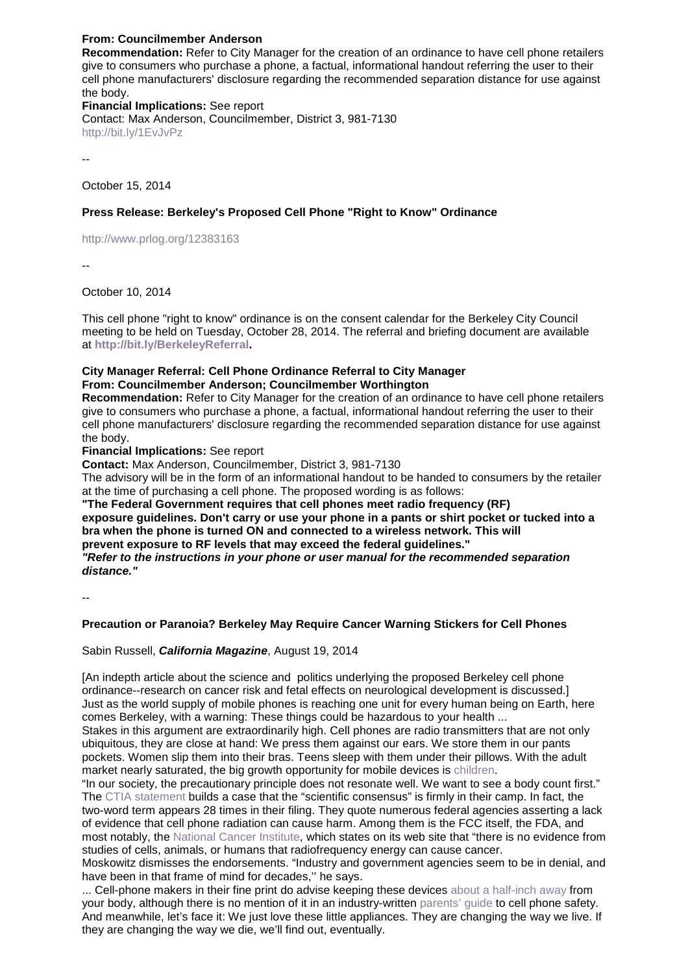### **From: Councilmember Anderson**

**Recommendation:** Refer to City Manager for the creation of an ordinance to have cell phone retailers give to consumers who purchase a phone, a factual, informational handout referring the user to their cell phone manufacturers' disclosure regarding the recommended separation distance for use against the body.

### **Financial Implications:** See report

Contact: Max Anderson, Councilmember, District 3, 981-7130 http://bit.ly/1EvJvPz

--

October 15, 2014

### **Press Release: Berkeley's Proposed Cell Phone "Right to Know" Ordinance**

http://www.prlog.org/12383163

--

October 10, 2014

This cell phone "right to know" ordinance is on the consent calendar for the Berkeley City Council meeting to be held on Tuesday, October 28, 2014. The referral and briefing document are available at **http://bit.ly/BerkeleyReferral.**

### **City Manager Referral: Cell Phone Ordinance Referral to City Manager From: Councilmember Anderson; Councilmember Worthington**

**Recommendation:** Refer to City Manager for the creation of an ordinance to have cell phone retailers give to consumers who purchase a phone, a factual, informational handout referring the user to their cell phone manufacturers' disclosure regarding the recommended separation distance for use against the body.

**Financial Implications:** See report

**Contact:** Max Anderson, Councilmember, District 3, 981-7130

The advisory will be in the form of an informational handout to be handed to consumers by the retailer at the time of purchasing a cell phone. The proposed wording is as follows:

**"The Federal Government requires that cell phones meet radio frequency (RF) exposure guidelines. Don't carry or use your phone in a pants or shirt pocket or tucked into a bra when the phone is turned ON and connected to a wireless network. This will prevent exposure to RF levels that may exceed the federal guidelines."**

**"Refer to the instructions in your phone or user manual for the recommended separation distance."**

--

### **Precaution or Paranoia? Berkeley May Require Cancer Warning Stickers for Cell Phones**

### Sabin Russell, **California Magazine**, August 19, 2014

[An indepth article about the science and politics underlying the proposed Berkeley cell phone ordinance--research on cancer risk and fetal effects on neurological development is discussed.] Just as the world supply of mobile phones is reaching one unit for every human being on Earth, here comes Berkeley, with a warning: These things could be hazardous to your health ...

Stakes in this argument are extraordinarily high. Cell phones are radio transmitters that are not only ubiquitous, they are close at hand: We press them against our ears. We store them in our pants pockets. Women slip them into their bras. Teens sleep with them under their pillows. With the adult market nearly saturated, the big growth opportunity for mobile devices is children.

"In our society, the precautionary principle does not resonate well. We want to see a body count first." The CTIA statement builds a case that the "scientific consensus" is firmly in their camp. In fact, the two-word term appears 28 times in their filing. They quote numerous federal agencies asserting a lack of evidence that cell phone radiation can cause harm. Among them is the FCC itself, the FDA, and most notably, the National Cancer Institute, which states on its web site that "there is no evidence from studies of cells, animals, or humans that radiofrequency energy can cause cancer.

Moskowitz dismisses the endorsements. "Industry and government agencies seem to be in denial, and have been in that frame of mind for decades,'' he says.

... Cell-phone makers in their fine print do advise keeping these devices about a half-inch away from your body, although there is no mention of it in an industry-written parents' guide to cell phone safety. And meanwhile, let's face it: We just love these little appliances. They are changing the way we live. If they are changing the way we die, we'll find out, eventually.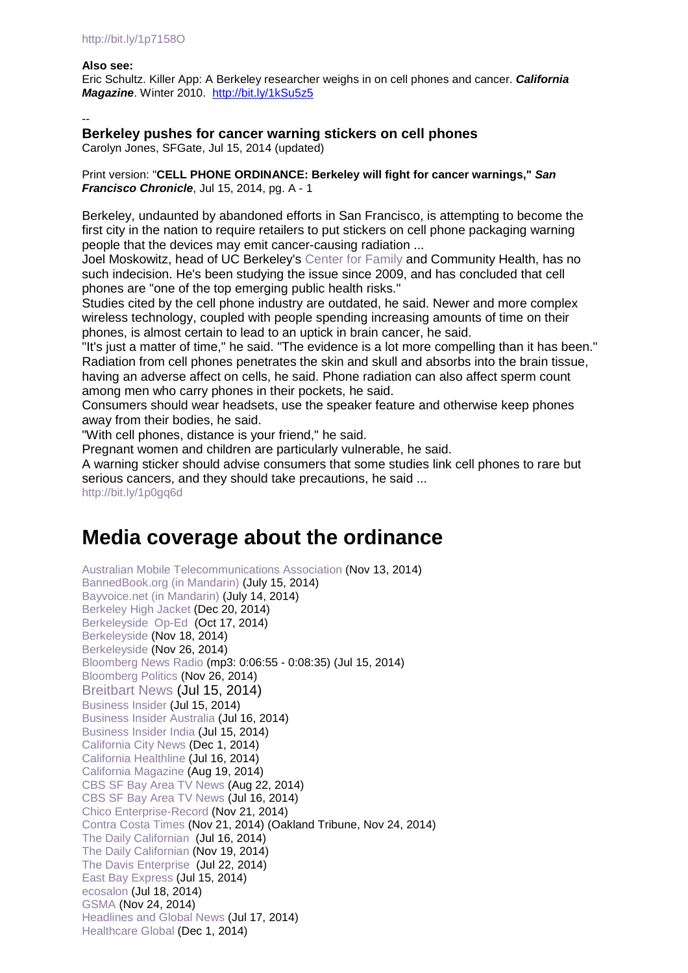### **Also see:**

--

Eric Schultz. Killer App: A Berkeley researcher weighs in on cell phones and cancer. **California Magazine**. Winter 2010. http://bit.ly/1kSu5z5

**Berkeley pushes for cancer warning stickers on cell phones**

Carolyn Jones, SFGate, Jul 15, 2014 (updated)

Print version: "**CELL PHONE ORDINANCE: Berkeley will fight for cancer warnings," San Francisco Chronicle**, Jul 15, 2014, pg. A - 1

Berkeley, undaunted by abandoned efforts in San Francisco, is attempting to become the first city in the nation to require retailers to put stickers on cell phone packaging warning people that the devices may emit cancer-causing radiation ...

Joel Moskowitz, head of UC Berkeley's Center for Family and Community Health, has no such indecision. He's been studying the issue since 2009, and has concluded that cell phones are "one of the top emerging public health risks."

Studies cited by the cell phone industry are outdated, he said. Newer and more complex wireless technology, coupled with people spending increasing amounts of time on their phones, is almost certain to lead to an uptick in brain cancer, he said.

"It's just a matter of time," he said. "The evidence is a lot more compelling than it has been." Radiation from cell phones penetrates the skin and skull and absorbs into the brain tissue, having an adverse affect on cells, he said. Phone radiation can also affect sperm count among men who carry phones in their pockets, he said.

Consumers should wear headsets, use the speaker feature and otherwise keep phones away from their bodies, he said.

"With cell phones, distance is your friend," he said.

Pregnant women and children are particularly vulnerable, he said.

A warning sticker should advise consumers that some studies link cell phones to rare but serious cancers, and they should take precautions, he said ...

http://bit.ly/1p0gq6d

# **Media coverage about the ordinance**

Australian Mobile Telecommunications Association (Nov 13, 2014) BannedBook.org (in Mandarin) (July 15, 2014) Bayvoice.net (in Mandarin) (July 14, 2014) Berkeley High Jacket (Dec 20, 2014) Berkeleyside Op-Ed (Oct 17, 2014) Berkeleyside (Nov 18, 2014) Berkeleyside (Nov 26, 2014) Bloomberg News Radio (mp3: 0:06:55 - 0:08:35) (Jul 15, 2014) Bloomberg Politics (Nov 26, 2014) Breitbart News (Jul 15, 2014) Business Insider (Jul 15, 2014) Business Insider Australia (Jul 16, 2014) Business Insider India (Jul 15, 2014) California City News (Dec 1, 2014) California Healthline (Jul 16, 2014) California Magazine (Aug 19, 2014) CBS SF Bay Area TV News (Aug 22, 2014) CBS SF Bay Area TV News (Jul 16, 2014) Chico Enterprise-Record (Nov 21, 2014) Contra Costa Times (Nov 21, 2014) (Oakland Tribune, Nov 24, 2014) The Daily Californian (Jul 16, 2014) The Daily Californian (Nov 19, 2014) The Davis Enterprise (Jul 22, 2014) East Bay Express (Jul 15, 2014) ecosalon (Jul 18, 2014) GSMA (Nov 24, 2014) Headlines and Global News (Jul 17, 2014) Healthcare Global (Dec 1, 2014)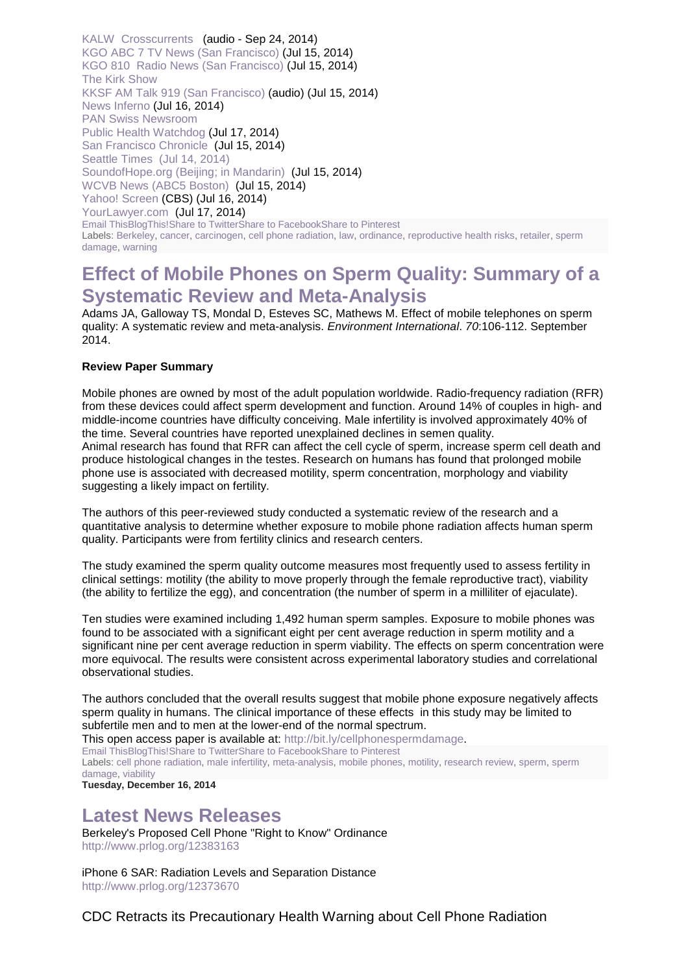KALW Crosscurrents (audio - Sep 24, 2014) KGO ABC 7 TV News (San Francisco) (Jul 15, 2014) KGO 810 Radio News (San Francisco) (Jul 15, 2014) The Kirk Show KKSF AM Talk 919 (San Francisco) (audio) (Jul 15, 2014) News Inferno (Jul 16, 2014) PAN Swiss Newsroom Public Health Watchdog (Jul 17, 2014) San Francisco Chronicle (Jul 15, 2014) Seattle Times (Jul 14, 2014) SoundofHope.org (Beijing; in Mandarin) (Jul 15, 2014) WCVB News (ABC5 Boston) (Jul 15, 2014) Yahoo! Screen (CBS) (Jul 16, 2014) YourLawyer.com (Jul 17, 2014) Email ThisBlogThis!Share to TwitterShare to FacebookShare to Pinterest Labels: Berkeley, cancer, carcinogen, cell phone radiation, law, ordinance, reproductive health risks, retailer, sperm damage, warning

### **Effect of Mobile Phones on Sperm Quality: Summary of a Systematic Review and Meta-Analysis**

Adams JA, Galloway TS, Mondal D, Esteves SC, Mathews M. Effect of mobile telephones on sperm quality: A systematic review and meta-analysis. *Environment International. 70:106-112*. September 2014.

### **Review Paper Summary**

Mobile phones are owned by most of the adult population worldwide. Radio-frequency radiation (RFR) from these devices could affect sperm development and function. Around 14% of couples in high- and middle-income countries have difficulty conceiving. Male infertility is involved approximately 40% of the time. Several countries have reported unexplained declines in semen quality. Animal research has found that RFR can affect the cell cycle of sperm, increase sperm cell death and produce histological changes in the testes. Research on humans has found that prolonged mobile phone use is associated with decreased motility, sperm concentration, morphology and viability suggesting a likely impact on fertility.

The authors of this peer-reviewed study conducted a systematic review of the research and a quantitative analysis to determine whether exposure to mobile phone radiation affects human sperm quality. Participants were from fertility clinics and research centers.

The study examined the sperm quality outcome measures most frequently used to assess fertility in clinical settings: motility (the ability to move properly through the female reproductive tract), viability (the ability to fertilize the egg), and concentration (the number of sperm in a milliliter of ejaculate).

Ten studies were examined including 1,492 human sperm samples. Exposure to mobile phones was found to be associated with a significant eight per cent average reduction in sperm motility and a significant nine per cent average reduction in sperm viability. The effects on sperm concentration were more equivocal. The results were consistent across experimental laboratory studies and correlational observational studies.

The authors concluded that the overall results suggest that mobile phone exposure negatively affects sperm quality in humans. The clinical importance of these effects in this study may be limited to subfertile men and to men at the lower-end of the normal spectrum. This open access paper is available at: http://bit.ly/cellphonespermdamage. Email ThisBlogThis!Share to TwitterShare to FacebookShare to Pinterest

Labels: cell phone radiation, male infertility, meta-analysis, mobile phones, motility, research review, sperm, sperm damage, viability

**Tuesday, December 16, 2014**

### **Latest News Releases**

Berkeley's Proposed Cell Phone "Right to Know" Ordinance http://www.prlog.org/12383163

iPhone 6 SAR: Radiation Levels and Separation Distance http://www.prlog.org/12373670

CDC Retracts its Precautionary Health Warning about Cell Phone Radiation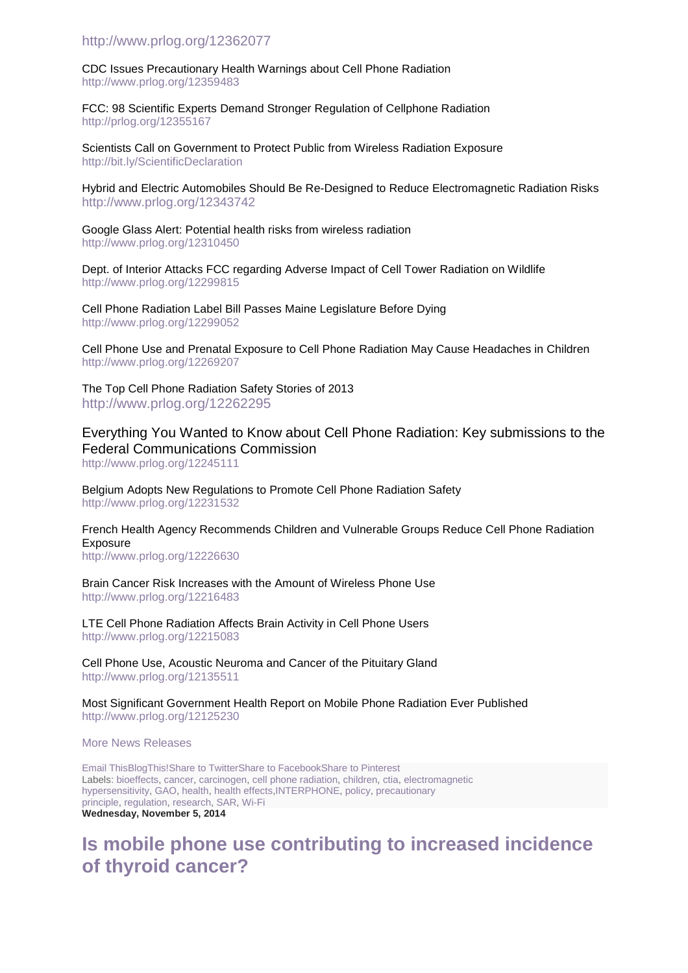### http://www.prlog.org/12362077

CDC Issues Precautionary Health Warnings about Cell Phone Radiation http://www.prlog.org/12359483

FCC: 98 Scientific Experts Demand Stronger Regulation of Cellphone Radiation http://prlog.org/12355167

Scientists Call on Government to Protect Public from Wireless Radiation Exposure http://bit.ly/ScientificDeclaration

Hybrid and Electric Automobiles Should Be Re-Designed to Reduce Electromagnetic Radiation Risks http://www.prlog.org/12343742

Google Glass Alert: Potential health risks from wireless radiation http://www.prlog.org/12310450

Dept. of Interior Attacks FCC regarding Adverse Impact of Cell Tower Radiation on Wildlife http://www.prlog.org/12299815

Cell Phone Radiation Label Bill Passes Maine Legislature Before Dying http://www.prlog.org/12299052

Cell Phone Use and Prenatal Exposure to Cell Phone Radiation May Cause Headaches in Children http://www.prlog.org/12269207

The Top Cell Phone Radiation Safety Stories of 2013 http://www.prlog.org/12262295

Everything You Wanted to Know about Cell Phone Radiation: Key submissions to the Federal Communications Commission http://www.prlog.org/12245111

Belgium Adopts New Regulations to Promote Cell Phone Radiation Safety http://www.prlog.org/12231532

French Health Agency Recommends Children and Vulnerable Groups Reduce Cell Phone Radiation Exposure

http://www.prlog.org/12226630

Brain Cancer Risk Increases with the Amount of Wireless Phone Use http://www.prlog.org/12216483

LTE Cell Phone Radiation Affects Brain Activity in Cell Phone Users http://www.prlog.org/12215083

Cell Phone Use, Acoustic Neuroma and Cancer of the Pituitary Gland http://www.prlog.org/12135511

Most Significant Government Health Report on Mobile Phone Radiation Ever Published http://www.prlog.org/12125230

More News Releases

Email ThisBlogThis!Share to TwitterShare to FacebookShare to Pinterest Labels: bioeffects, cancer, carcinogen, cell phone radiation, children, ctia, electromagnetic hypersensitivity, GAO, health, health effects,INTERPHONE, policy, precautionary principle, regulation, research, SAR, Wi-Fi **Wednesday, November 5, 2014**

### **Is mobile phone use contributing to increased incidence of thyroid cancer?**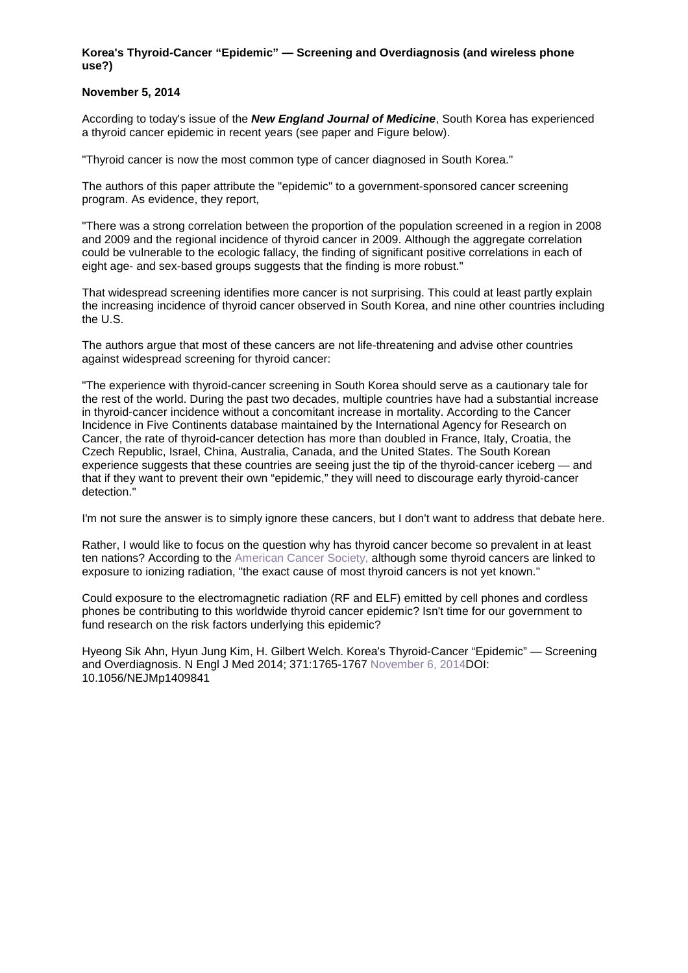### **Korea's Thyroid-Cancer "Epidemic" — Screening and Overdiagnosis (and wireless phone use?)**

### **November 5, 2014**

According to today's issue of the **New England Journal of Medicine**, South Korea has experienced a thyroid cancer epidemic in recent years (see paper and Figure below).

"Thyroid cancer is now the most common type of cancer diagnosed in South Korea."

The authors of this paper attribute the "epidemic" to a government-sponsored cancer screening program. As evidence, they report,

"There was a strong correlation between the proportion of the population screened in a region in 2008 and 2009 and the regional incidence of thyroid cancer in 2009. Although the aggregate correlation could be vulnerable to the ecologic fallacy, the finding of significant positive correlations in each of eight age- and sex-based groups suggests that the finding is more robust."

That widespread screening identifies more cancer is not surprising. This could at least partly explain the increasing incidence of thyroid cancer observed in South Korea, and nine other countries including the U.S.

The authors argue that most of these cancers are not life-threatening and advise other countries against widespread screening for thyroid cancer:

"The experience with thyroid-cancer screening in South Korea should serve as a cautionary tale for the rest of the world. During the past two decades, multiple countries have had a substantial increase in thyroid-cancer incidence without a concomitant increase in mortality. According to the Cancer Incidence in Five Continents database maintained by the International Agency for Research on Cancer, the rate of thyroid-cancer detection has more than doubled in France, Italy, Croatia, the Czech Republic, Israel, China, Australia, Canada, and the United States. The South Korean experience suggests that these countries are seeing just the tip of the thyroid-cancer iceberg — and that if they want to prevent their own "epidemic," they will need to discourage early thyroid-cancer detection."

I'm not sure the answer is to simply ignore these cancers, but I don't want to address that debate here.

Rather, I would like to focus on the question why has thyroid cancer become so prevalent in at least ten nations? According to the American Cancer Society, although some thyroid cancers are linked to exposure to ionizing radiation, "the exact cause of most thyroid cancers is not yet known."

Could exposure to the electromagnetic radiation (RF and ELF) emitted by cell phones and cordless phones be contributing to this worldwide thyroid cancer epidemic? Isn't time for our government to fund research on the risk factors underlying this epidemic?

Hyeong Sik Ahn, Hyun Jung Kim, H. Gilbert Welch. Korea's Thyroid-Cancer "Epidemic" — Screening and Overdiagnosis. N Engl J Med 2014; 371:1765-1767 November 6, 2014DOI: 10.1056/NEJMp1409841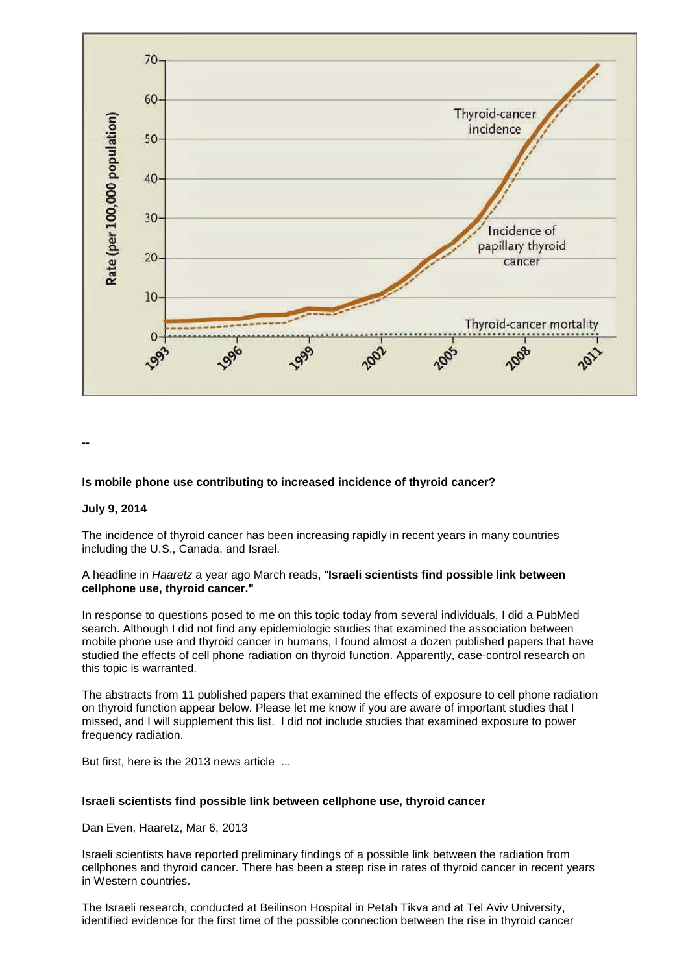

**--**

### **Is mobile phone use contributing to increased incidence of thyroid cancer?**

### **July 9, 2014**

The incidence of thyroid cancer has been increasing rapidly in recent years in many countries including the U.S., Canada, and Israel.

### A headline in Haaretz a year ago March reads, "**Israeli scientists find possible link between cellphone use, thyroid cancer."**

In response to questions posed to me on this topic today from several individuals, I did a PubMed search. Although I did not find any epidemiologic studies that examined the association between mobile phone use and thyroid cancer in humans, I found almost a dozen published papers that have studied the effects of cell phone radiation on thyroid function. Apparently, case-control research on this topic is warranted.

The abstracts from 11 published papers that examined the effects of exposure to cell phone radiation on thyroid function appear below. Please let me know if you are aware of important studies that I missed, and I will supplement this list. I did not include studies that examined exposure to power frequency radiation.

But first, here is the 2013 news article ...

#### **Israeli scientists find possible link between cellphone use, thyroid cancer**

Dan Even, Haaretz, Mar 6, 2013

Israeli scientists have reported preliminary findings of a possible link between the radiation from cellphones and thyroid cancer. There has been a steep rise in rates of thyroid cancer in recent years in Western countries.

The Israeli research, conducted at Beilinson Hospital in Petah Tikva and at Tel Aviv University, identified evidence for the first time of the possible connection between the rise in thyroid cancer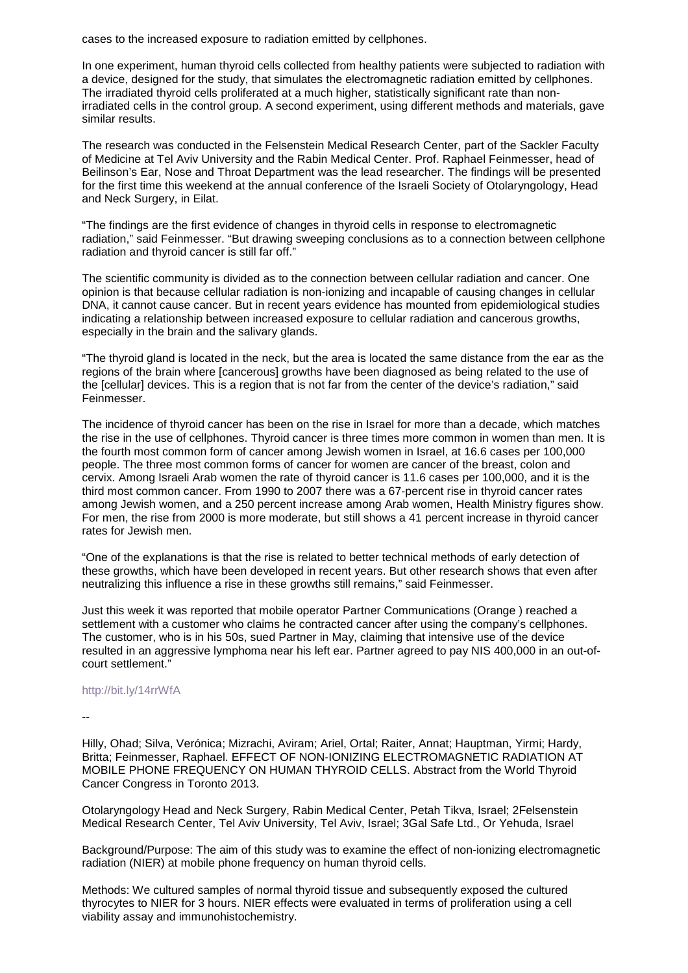cases to the increased exposure to radiation emitted by cellphones.

In one experiment, human thyroid cells collected from healthy patients were subjected to radiation with a device, designed for the study, that simulates the electromagnetic radiation emitted by cellphones. The irradiated thyroid cells proliferated at a much higher, statistically significant rate than nonirradiated cells in the control group. A second experiment, using different methods and materials, gave similar results.

The research was conducted in the Felsenstein Medical Research Center, part of the Sackler Faculty of Medicine at Tel Aviv University and the Rabin Medical Center. Prof. Raphael Feinmesser, head of Beilinson's Ear, Nose and Throat Department was the lead researcher. The findings will be presented for the first time this weekend at the annual conference of the Israeli Society of Otolaryngology, Head and Neck Surgery, in Eilat.

"The findings are the first evidence of changes in thyroid cells in response to electromagnetic radiation," said Feinmesser. "But drawing sweeping conclusions as to a connection between cellphone radiation and thyroid cancer is still far off."

The scientific community is divided as to the connection between cellular radiation and cancer. One opinion is that because cellular radiation is non-ionizing and incapable of causing changes in cellular DNA, it cannot cause cancer. But in recent years evidence has mounted from epidemiological studies indicating a relationship between increased exposure to cellular radiation and cancerous growths, especially in the brain and the salivary glands.

"The thyroid gland is located in the neck, but the area is located the same distance from the ear as the regions of the brain where [cancerous] growths have been diagnosed as being related to the use of the [cellular] devices. This is a region that is not far from the center of the device's radiation," said Feinmesser.

The incidence of thyroid cancer has been on the rise in Israel for more than a decade, which matches the rise in the use of cellphones. Thyroid cancer is three times more common in women than men. It is the fourth most common form of cancer among Jewish women in Israel, at 16.6 cases per 100,000 people. The three most common forms of cancer for women are cancer of the breast, colon and cervix. Among Israeli Arab women the rate of thyroid cancer is 11.6 cases per 100,000, and it is the third most common cancer. From 1990 to 2007 there was a 67-percent rise in thyroid cancer rates among Jewish women, and a 250 percent increase among Arab women, Health Ministry figures show. For men, the rise from 2000 is more moderate, but still shows a 41 percent increase in thyroid cancer rates for Jewish men.

"One of the explanations is that the rise is related to better technical methods of early detection of these growths, which have been developed in recent years. But other research shows that even after neutralizing this influence a rise in these growths still remains," said Feinmesser.

Just this week it was reported that mobile operator Partner Communications (Orange ) reached a settlement with a customer who claims he contracted cancer after using the company's cellphones. The customer, who is in his 50s, sued Partner in May, claiming that intensive use of the device resulted in an aggressive lymphoma near his left ear. Partner agreed to pay NIS 400,000 in an out-ofcourt settlement."

### http://bit.ly/14rrWfA

--

Hilly, Ohad; Silva, Verónica; Mizrachi, Aviram; Ariel, Ortal; Raiter, Annat; Hauptman, Yirmi; Hardy, Britta; Feinmesser, Raphael. EFFECT OF NON-IONIZING ELECTROMAGNETIC RADIATION AT MOBILE PHONE FREQUENCY ON HUMAN THYROID CELLS. Abstract from the World Thyroid Cancer Congress in Toronto 2013.

Otolaryngology Head and Neck Surgery, Rabin Medical Center, Petah Tikva, Israel; 2Felsenstein Medical Research Center, Tel Aviv University, Tel Aviv, Israel; 3Gal Safe Ltd., Or Yehuda, Israel

Background/Purpose: The aim of this study was to examine the effect of non-ionizing electromagnetic radiation (NIER) at mobile phone frequency on human thyroid cells.

Methods: We cultured samples of normal thyroid tissue and subsequently exposed the cultured thyrocytes to NIER for 3 hours. NIER effects were evaluated in terms of proliferation using a cell viability assay and immunohistochemistry.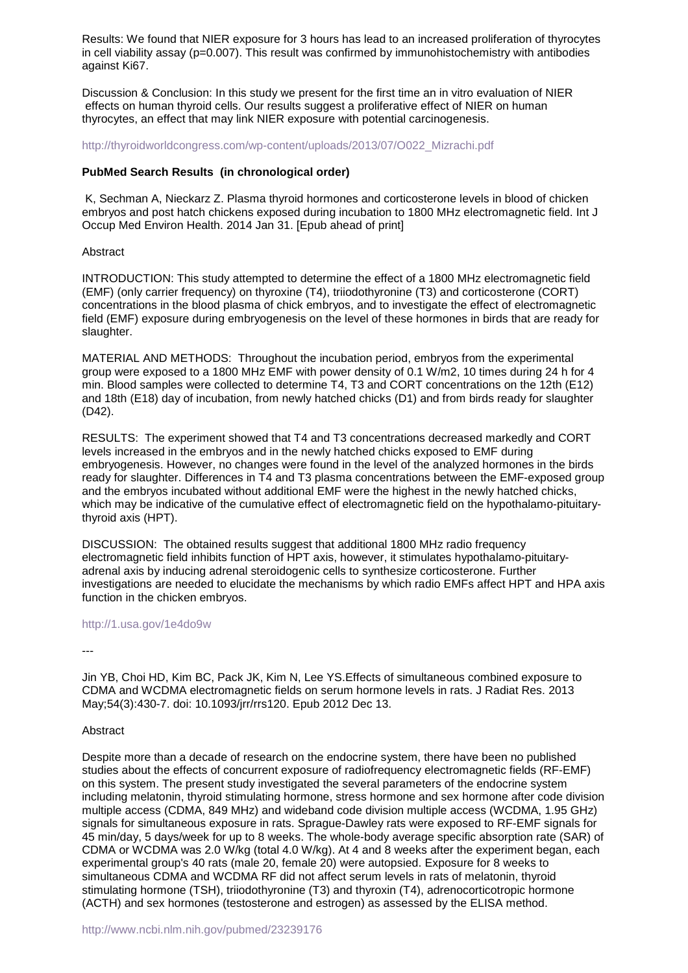Results: We found that NIER exposure for 3 hours has lead to an increased proliferation of thyrocytes in cell viability assay ( $p=0.007$ ). This result was confirmed by immunohistochemistry with antibodies against Ki67.

Discussion & Conclusion: In this study we present for the first time an in vitro evaluation of NIER effects on human thyroid cells. Our results suggest a proliferative effect of NIER on human thyrocytes, an effect that may link NIER exposure with potential carcinogenesis.

http://thyroidworldcongress.com/wp-content/uploads/2013/07/O022\_Mizrachi.pdf

### **PubMed Search Results (in chronological order)**

 K, Sechman A, Nieckarz Z. Plasma thyroid hormones and corticosterone levels in blood of chicken embryos and post hatch chickens exposed during incubation to 1800 MHz electromagnetic field. Int J Occup Med Environ Health. 2014 Jan 31. [Epub ahead of print]

### Abstract

INTRODUCTION: This study attempted to determine the effect of a 1800 MHz electromagnetic field (EMF) (only carrier frequency) on thyroxine (T4), triiodothyronine (T3) and corticosterone (CORT) concentrations in the blood plasma of chick embryos, and to investigate the effect of electromagnetic field (EMF) exposure during embryogenesis on the level of these hormones in birds that are ready for slaughter.

MATERIAL AND METHODS: Throughout the incubation period, embryos from the experimental group were exposed to a 1800 MHz EMF with power density of 0.1 W/m2, 10 times during 24 h for 4 min. Blood samples were collected to determine T4, T3 and CORT concentrations on the 12th (E12) and 18th (E18) day of incubation, from newly hatched chicks (D1) and from birds ready for slaughter (D42).

RESULTS: The experiment showed that T4 and T3 concentrations decreased markedly and CORT levels increased in the embryos and in the newly hatched chicks exposed to EMF during embryogenesis. However, no changes were found in the level of the analyzed hormones in the birds ready for slaughter. Differences in T4 and T3 plasma concentrations between the EMF-exposed group and the embryos incubated without additional EMF were the highest in the newly hatched chicks, which may be indicative of the cumulative effect of electromagnetic field on the hypothalamo-pituitarythyroid axis (HPT).

DISCUSSION: The obtained results suggest that additional 1800 MHz radio frequency electromagnetic field inhibits function of HPT axis, however, it stimulates hypothalamo-pituitaryadrenal axis by inducing adrenal steroidogenic cells to synthesize corticosterone. Further investigations are needed to elucidate the mechanisms by which radio EMFs affect HPT and HPA axis function in the chicken embryos.

### http://1.usa.gov/1e4do9w

---

Jin YB, Choi HD, Kim BC, Pack JK, Kim N, Lee YS.Effects of simultaneous combined exposure to CDMA and WCDMA electromagnetic fields on serum hormone levels in rats. J Radiat Res. 2013 May;54(3):430-7. doi: 10.1093/jrr/rrs120. Epub 2012 Dec 13.

### Abstract

Despite more than a decade of research on the endocrine system, there have been no published studies about the effects of concurrent exposure of radiofrequency electromagnetic fields (RF-EMF) on this system. The present study investigated the several parameters of the endocrine system including melatonin, thyroid stimulating hormone, stress hormone and sex hormone after code division multiple access (CDMA, 849 MHz) and wideband code division multiple access (WCDMA, 1.95 GHz) signals for simultaneous exposure in rats. Sprague-Dawley rats were exposed to RF-EMF signals for 45 min/day, 5 days/week for up to 8 weeks. The whole-body average specific absorption rate (SAR) of CDMA or WCDMA was 2.0 W/kg (total 4.0 W/kg). At 4 and 8 weeks after the experiment began, each experimental group's 40 rats (male 20, female 20) were autopsied. Exposure for 8 weeks to simultaneous CDMA and WCDMA RF did not affect serum levels in rats of melatonin, thyroid stimulating hormone (TSH), triiodothyronine (T3) and thyroxin (T4), adrenocorticotropic hormone (ACTH) and sex hormones (testosterone and estrogen) as assessed by the ELISA method.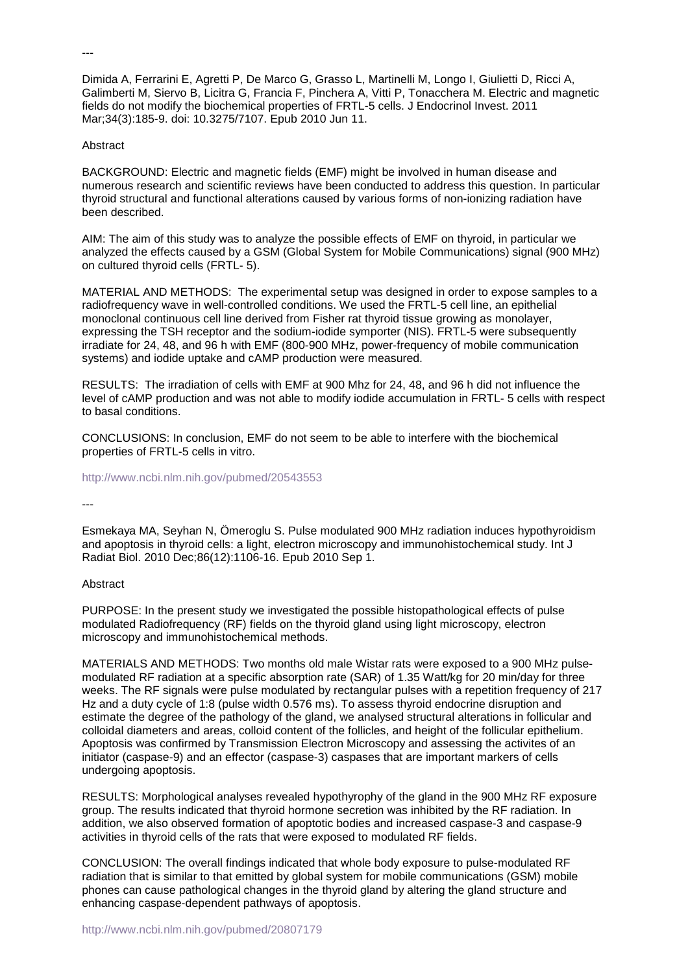Dimida A, Ferrarini E, Agretti P, De Marco G, Grasso L, Martinelli M, Longo I, Giulietti D, Ricci A, Galimberti M, Siervo B, Licitra G, Francia F, Pinchera A, Vitti P, Tonacchera M. Electric and magnetic fields do not modify the biochemical properties of FRTL-5 cells. J Endocrinol Invest. 2011 Mar;34(3):185-9. doi: 10.3275/7107. Epub 2010 Jun 11.

### Abstract

BACKGROUND: Electric and magnetic fields (EMF) might be involved in human disease and numerous research and scientific reviews have been conducted to address this question. In particular thyroid structural and functional alterations caused by various forms of non-ionizing radiation have been described.

AIM: The aim of this study was to analyze the possible effects of EMF on thyroid, in particular we analyzed the effects caused by a GSM (Global System for Mobile Communications) signal (900 MHz) on cultured thyroid cells (FRTL- 5).

MATERIAL AND METHODS: The experimental setup was designed in order to expose samples to a radiofrequency wave in well-controlled conditions. We used the FRTL-5 cell line, an epithelial monoclonal continuous cell line derived from Fisher rat thyroid tissue growing as monolayer, expressing the TSH receptor and the sodium-iodide symporter (NIS). FRTL-5 were subsequently irradiate for 24, 48, and 96 h with EMF (800-900 MHz, power-frequency of mobile communication systems) and iodide uptake and cAMP production were measured.

RESULTS: The irradiation of cells with EMF at 900 Mhz for 24, 48, and 96 h did not influence the level of cAMP production and was not able to modify iodide accumulation in FRTL- 5 cells with respect to basal conditions.

CONCLUSIONS: In conclusion, EMF do not seem to be able to interfere with the biochemical properties of FRTL-5 cells in vitro.

### http://www.ncbi.nlm.nih.gov/pubmed/20543553

---

Esmekaya MA, Seyhan N, Ömeroglu S. Pulse modulated 900 MHz radiation induces hypothyroidism and apoptosis in thyroid cells: a light, electron microscopy and immunohistochemical study. Int J Radiat Biol. 2010 Dec;86(12):1106-16. Epub 2010 Sep 1.

### Abstract

PURPOSE: In the present study we investigated the possible histopathological effects of pulse modulated Radiofrequency (RF) fields on the thyroid gland using light microscopy, electron microscopy and immunohistochemical methods.

MATERIALS AND METHODS: Two months old male Wistar rats were exposed to a 900 MHz pulsemodulated RF radiation at a specific absorption rate (SAR) of 1.35 Watt/kg for 20 min/day for three weeks. The RF signals were pulse modulated by rectangular pulses with a repetition frequency of 217 Hz and a duty cycle of 1:8 (pulse width 0.576 ms). To assess thyroid endocrine disruption and estimate the degree of the pathology of the gland, we analysed structural alterations in follicular and colloidal diameters and areas, colloid content of the follicles, and height of the follicular epithelium. Apoptosis was confirmed by Transmission Electron Microscopy and assessing the activites of an initiator (caspase-9) and an effector (caspase-3) caspases that are important markers of cells undergoing apoptosis.

RESULTS: Morphological analyses revealed hypothyrophy of the gland in the 900 MHz RF exposure group. The results indicated that thyroid hormone secretion was inhibited by the RF radiation. In addition, we also observed formation of apoptotic bodies and increased caspase-3 and caspase-9 activities in thyroid cells of the rats that were exposed to modulated RF fields.

CONCLUSION: The overall findings indicated that whole body exposure to pulse-modulated RF radiation that is similar to that emitted by global system for mobile communications (GSM) mobile phones can cause pathological changes in the thyroid gland by altering the gland structure and enhancing caspase-dependent pathways of apoptosis.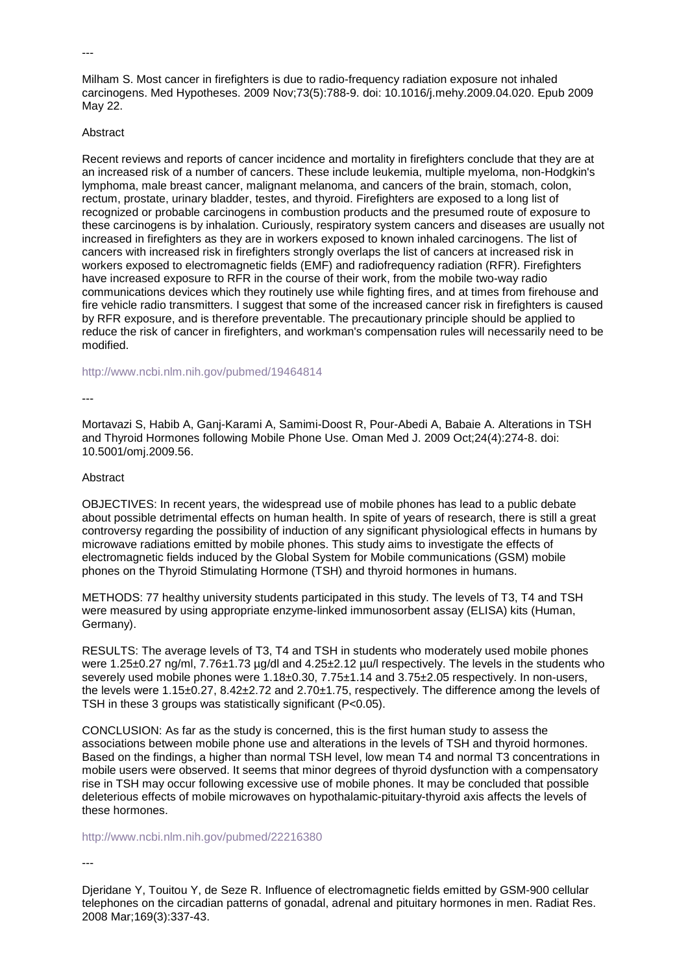---

Milham S. Most cancer in firefighters is due to radio-frequency radiation exposure not inhaled carcinogens. Med Hypotheses. 2009 Nov;73(5):788-9. doi: 10.1016/j.mehy.2009.04.020. Epub 2009 May 22.

### Abstract

Recent reviews and reports of cancer incidence and mortality in firefighters conclude that they are at an increased risk of a number of cancers. These include leukemia, multiple myeloma, non-Hodgkin's lymphoma, male breast cancer, malignant melanoma, and cancers of the brain, stomach, colon, rectum, prostate, urinary bladder, testes, and thyroid. Firefighters are exposed to a long list of recognized or probable carcinogens in combustion products and the presumed route of exposure to these carcinogens is by inhalation. Curiously, respiratory system cancers and diseases are usually not increased in firefighters as they are in workers exposed to known inhaled carcinogens. The list of cancers with increased risk in firefighters strongly overlaps the list of cancers at increased risk in workers exposed to electromagnetic fields (EMF) and radiofrequency radiation (RFR). Firefighters have increased exposure to RFR in the course of their work, from the mobile two-way radio communications devices which they routinely use while fighting fires, and at times from firehouse and fire vehicle radio transmitters. I suggest that some of the increased cancer risk in firefighters is caused by RFR exposure, and is therefore preventable. The precautionary principle should be applied to reduce the risk of cancer in firefighters, and workman's compensation rules will necessarily need to be modified.

http://www.ncbi.nlm.nih.gov/pubmed/19464814

---

Mortavazi S, Habib A, Ganj-Karami A, Samimi-Doost R, Pour-Abedi A, Babaie A. Alterations in TSH and Thyroid Hormones following Mobile Phone Use. Oman Med J. 2009 Oct;24(4):274-8. doi: 10.5001/omj.2009.56.

### Abstract

OBJECTIVES: In recent years, the widespread use of mobile phones has lead to a public debate about possible detrimental effects on human health. In spite of years of research, there is still a great controversy regarding the possibility of induction of any significant physiological effects in humans by microwave radiations emitted by mobile phones. This study aims to investigate the effects of electromagnetic fields induced by the Global System for Mobile communications (GSM) mobile phones on the Thyroid Stimulating Hormone (TSH) and thyroid hormones in humans.

METHODS: 77 healthy university students participated in this study. The levels of T3, T4 and TSH were measured by using appropriate enzyme-linked immunosorbent assay (ELISA) kits (Human, Germany).

RESULTS: The average levels of T3, T4 and TSH in students who moderately used mobile phones were 1.25±0.27 ng/ml, 7.76±1.73 µg/dl and 4.25±2.12 µu/l respectively. The levels in the students who severely used mobile phones were 1.18±0.30, 7.75±1.14 and 3.75±2.05 respectively. In non-users, the levels were 1.15±0.27, 8.42±2.72 and 2.70±1.75, respectively. The difference among the levels of TSH in these 3 groups was statistically significant (P<0.05).

CONCLUSION: As far as the study is concerned, this is the first human study to assess the associations between mobile phone use and alterations in the levels of TSH and thyroid hormones. Based on the findings, a higher than normal TSH level, low mean T4 and normal T3 concentrations in mobile users were observed. It seems that minor degrees of thyroid dysfunction with a compensatory rise in TSH may occur following excessive use of mobile phones. It may be concluded that possible deleterious effects of mobile microwaves on hypothalamic-pituitary-thyroid axis affects the levels of these hormones.

http://www.ncbi.nlm.nih.gov/pubmed/22216380

---

Djeridane Y, Touitou Y, de Seze R. Influence of electromagnetic fields emitted by GSM-900 cellular telephones on the circadian patterns of gonadal, adrenal and pituitary hormones in men. Radiat Res. 2008 Mar;169(3):337-43.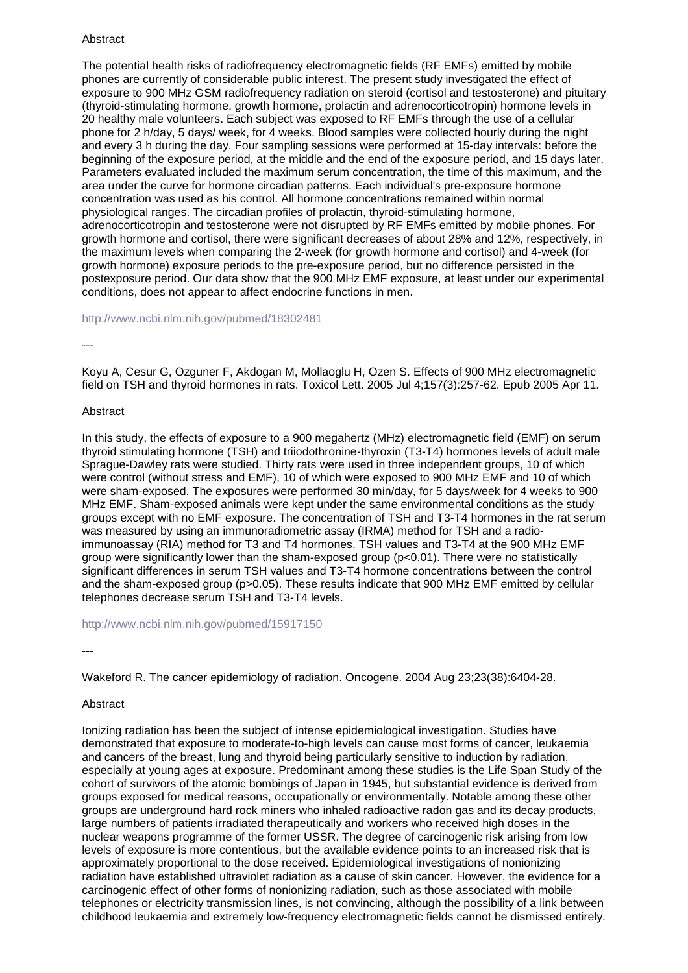### Abstract

The potential health risks of radiofrequency electromagnetic fields (RF EMFs) emitted by mobile phones are currently of considerable public interest. The present study investigated the effect of exposure to 900 MHz GSM radiofrequency radiation on steroid (cortisol and testosterone) and pituitary (thyroid-stimulating hormone, growth hormone, prolactin and adrenocorticotropin) hormone levels in 20 healthy male volunteers. Each subject was exposed to RF EMFs through the use of a cellular phone for 2 h/day, 5 days/ week, for 4 weeks. Blood samples were collected hourly during the night and every 3 h during the day. Four sampling sessions were performed at 15-day intervals: before the beginning of the exposure period, at the middle and the end of the exposure period, and 15 days later. Parameters evaluated included the maximum serum concentration, the time of this maximum, and the area under the curve for hormone circadian patterns. Each individual's pre-exposure hormone concentration was used as his control. All hormone concentrations remained within normal physiological ranges. The circadian profiles of prolactin, thyroid-stimulating hormone, adrenocorticotropin and testosterone were not disrupted by RF EMFs emitted by mobile phones. For growth hormone and cortisol, there were significant decreases of about 28% and 12%, respectively, in the maximum levels when comparing the 2-week (for growth hormone and cortisol) and 4-week (for growth hormone) exposure periods to the pre-exposure period, but no difference persisted in the postexposure period. Our data show that the 900 MHz EMF exposure, at least under our experimental conditions, does not appear to affect endocrine functions in men.

### http://www.ncbi.nlm.nih.gov/pubmed/18302481

### ---

Koyu A, Cesur G, Ozguner F, Akdogan M, Mollaoglu H, Ozen S. Effects of 900 MHz electromagnetic field on TSH and thyroid hormones in rats. Toxicol Lett. 2005 Jul 4;157(3):257-62. Epub 2005 Apr 11.

### Abstract

In this study, the effects of exposure to a 900 megahertz (MHz) electromagnetic field (EMF) on serum thyroid stimulating hormone (TSH) and triiodothronine-thyroxin (T3-T4) hormones levels of adult male Sprague-Dawley rats were studied. Thirty rats were used in three independent groups, 10 of which were control (without stress and EMF), 10 of which were exposed to 900 MHz EMF and 10 of which were sham-exposed. The exposures were performed 30 min/day, for 5 days/week for 4 weeks to 900 MHz EMF. Sham-exposed animals were kept under the same environmental conditions as the study groups except with no EMF exposure. The concentration of TSH and T3-T4 hormones in the rat serum was measured by using an immunoradiometric assay (IRMA) method for TSH and a radioimmunoassay (RIA) method for T3 and T4 hormones. TSH values and T3-T4 at the 900 MHz EMF group were significantly lower than the sham-exposed group (p<0.01). There were no statistically significant differences in serum TSH values and T3-T4 hormone concentrations between the control and the sham-exposed group (p>0.05). These results indicate that 900 MHz EMF emitted by cellular telephones decrease serum TSH and T3-T4 levels.

### http://www.ncbi.nlm.nih.gov/pubmed/15917150

---

Wakeford R. The cancer epidemiology of radiation. Oncogene. 2004 Aug 23;23(38):6404-28.

### Abstract

Ionizing radiation has been the subject of intense epidemiological investigation. Studies have demonstrated that exposure to moderate-to-high levels can cause most forms of cancer, leukaemia and cancers of the breast, lung and thyroid being particularly sensitive to induction by radiation, especially at young ages at exposure. Predominant among these studies is the Life Span Study of the cohort of survivors of the atomic bombings of Japan in 1945, but substantial evidence is derived from groups exposed for medical reasons, occupationally or environmentally. Notable among these other groups are underground hard rock miners who inhaled radioactive radon gas and its decay products, large numbers of patients irradiated therapeutically and workers who received high doses in the nuclear weapons programme of the former USSR. The degree of carcinogenic risk arising from low levels of exposure is more contentious, but the available evidence points to an increased risk that is approximately proportional to the dose received. Epidemiological investigations of nonionizing radiation have established ultraviolet radiation as a cause of skin cancer. However, the evidence for a carcinogenic effect of other forms of nonionizing radiation, such as those associated with mobile telephones or electricity transmission lines, is not convincing, although the possibility of a link between childhood leukaemia and extremely low-frequency electromagnetic fields cannot be dismissed entirely.